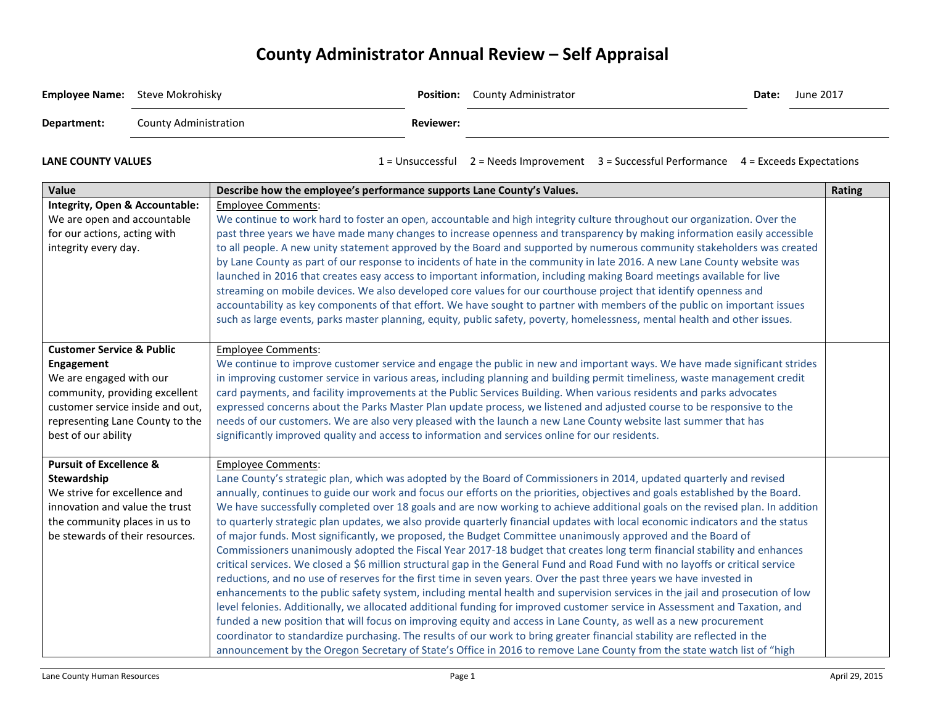## **County Administrator Annual Review – Self Appraisal**

| <b>Employee Name:</b> Steve Mokrohisky                                                                                                                                                                        |                              |                                                                                                                                                                                                                                                                                                                                                                                                                                                                                                                                                                                                                                                                                                                                                                                                                                                                                                                                                                                                                                                                                                                                                                                                                                                                                                                                                                                                                                                                                                                                                                                                                                                                                                        |                  | Position: County Administrator |                                                                                            | Date: | June 2017     |
|---------------------------------------------------------------------------------------------------------------------------------------------------------------------------------------------------------------|------------------------------|--------------------------------------------------------------------------------------------------------------------------------------------------------------------------------------------------------------------------------------------------------------------------------------------------------------------------------------------------------------------------------------------------------------------------------------------------------------------------------------------------------------------------------------------------------------------------------------------------------------------------------------------------------------------------------------------------------------------------------------------------------------------------------------------------------------------------------------------------------------------------------------------------------------------------------------------------------------------------------------------------------------------------------------------------------------------------------------------------------------------------------------------------------------------------------------------------------------------------------------------------------------------------------------------------------------------------------------------------------------------------------------------------------------------------------------------------------------------------------------------------------------------------------------------------------------------------------------------------------------------------------------------------------------------------------------------------------|------------------|--------------------------------|--------------------------------------------------------------------------------------------|-------|---------------|
| Department:                                                                                                                                                                                                   | <b>County Administration</b> |                                                                                                                                                                                                                                                                                                                                                                                                                                                                                                                                                                                                                                                                                                                                                                                                                                                                                                                                                                                                                                                                                                                                                                                                                                                                                                                                                                                                                                                                                                                                                                                                                                                                                                        | <b>Reviewer:</b> |                                |                                                                                            |       |               |
| <b>LANE COUNTY VALUES</b>                                                                                                                                                                                     |                              |                                                                                                                                                                                                                                                                                                                                                                                                                                                                                                                                                                                                                                                                                                                                                                                                                                                                                                                                                                                                                                                                                                                                                                                                                                                                                                                                                                                                                                                                                                                                                                                                                                                                                                        |                  |                                | 1 = Unsuccessful 2 = Needs Improvement 3 = Successful Performance 4 = Exceeds Expectations |       |               |
| Value                                                                                                                                                                                                         |                              | Describe how the employee's performance supports Lane County's Values.                                                                                                                                                                                                                                                                                                                                                                                                                                                                                                                                                                                                                                                                                                                                                                                                                                                                                                                                                                                                                                                                                                                                                                                                                                                                                                                                                                                                                                                                                                                                                                                                                                 |                  |                                |                                                                                            |       | <b>Rating</b> |
| Integrity, Open & Accountable:<br>We are open and accountable<br>for our actions, acting with<br>integrity every day.                                                                                         |                              | <b>Employee Comments:</b><br>We continue to work hard to foster an open, accountable and high integrity culture throughout our organization. Over the<br>past three years we have made many changes to increase openness and transparency by making information easily accessible<br>to all people. A new unity statement approved by the Board and supported by numerous community stakeholders was created<br>by Lane County as part of our response to incidents of hate in the community in late 2016. A new Lane County website was<br>launched in 2016 that creates easy access to important information, including making Board meetings available for live<br>streaming on mobile devices. We also developed core values for our courthouse project that identify openness and<br>accountability as key components of that effort. We have sought to partner with members of the public on important issues<br>such as large events, parks master planning, equity, public safety, poverty, homelessness, mental health and other issues.                                                                                                                                                                                                                                                                                                                                                                                                                                                                                                                                                                                                                                                      |                  |                                |                                                                                            |       |               |
| <b>Customer Service &amp; Public</b><br>Engagement<br>We are engaged with our<br>community, providing excellent<br>customer service inside and out,<br>representing Lane County to the<br>best of our ability |                              | <b>Employee Comments:</b><br>We continue to improve customer service and engage the public in new and important ways. We have made significant strides<br>in improving customer service in various areas, including planning and building permit timeliness, waste management credit<br>card payments, and facility improvements at the Public Services Building. When various residents and parks advocates<br>expressed concerns about the Parks Master Plan update process, we listened and adjusted course to be responsive to the<br>needs of our customers. We are also very pleased with the launch a new Lane County website last summer that has<br>significantly improved quality and access to information and services online for our residents.                                                                                                                                                                                                                                                                                                                                                                                                                                                                                                                                                                                                                                                                                                                                                                                                                                                                                                                                           |                  |                                |                                                                                            |       |               |
| <b>Pursuit of Excellence &amp;</b><br>Stewardship<br>We strive for excellence and<br>innovation and value the trust<br>the community places in us to<br>be stewards of their resources.                       |                              | <b>Employee Comments:</b><br>Lane County's strategic plan, which was adopted by the Board of Commissioners in 2014, updated quarterly and revised<br>annually, continues to guide our work and focus our efforts on the priorities, objectives and goals established by the Board.<br>We have successfully completed over 18 goals and are now working to achieve additional goals on the revised plan. In addition<br>to quarterly strategic plan updates, we also provide quarterly financial updates with local economic indicators and the status<br>of major funds. Most significantly, we proposed, the Budget Committee unanimously approved and the Board of<br>Commissioners unanimously adopted the Fiscal Year 2017-18 budget that creates long term financial stability and enhances<br>critical services. We closed a \$6 million structural gap in the General Fund and Road Fund with no layoffs or critical service<br>reductions, and no use of reserves for the first time in seven years. Over the past three years we have invested in<br>enhancements to the public safety system, including mental health and supervision services in the jail and prosecution of low<br>level felonies. Additionally, we allocated additional funding for improved customer service in Assessment and Taxation, and<br>funded a new position that will focus on improving equity and access in Lane County, as well as a new procurement<br>coordinator to standardize purchasing. The results of our work to bring greater financial stability are reflected in the<br>announcement by the Oregon Secretary of State's Office in 2016 to remove Lane County from the state watch list of "high |                  |                                |                                                                                            |       |               |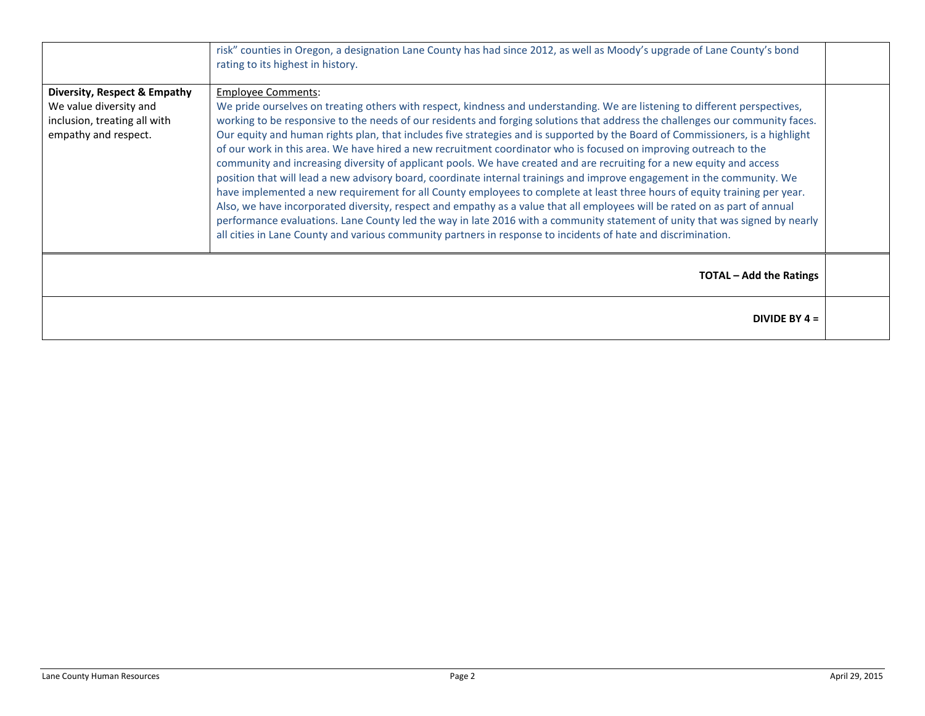|                                                                                                                | risk" counties in Oregon, a designation Lane County has had since 2012, as well as Moody's upgrade of Lane County's bond<br>rating to its highest in history.                                                                                                                                                                                                                                                                                                                                                                                                                                                                                                                                                                                                                                                                                                                                                                                                                                                                                                                                                                                                                                                                                                                                                   |  |
|----------------------------------------------------------------------------------------------------------------|-----------------------------------------------------------------------------------------------------------------------------------------------------------------------------------------------------------------------------------------------------------------------------------------------------------------------------------------------------------------------------------------------------------------------------------------------------------------------------------------------------------------------------------------------------------------------------------------------------------------------------------------------------------------------------------------------------------------------------------------------------------------------------------------------------------------------------------------------------------------------------------------------------------------------------------------------------------------------------------------------------------------------------------------------------------------------------------------------------------------------------------------------------------------------------------------------------------------------------------------------------------------------------------------------------------------|--|
| Diversity, Respect & Empathy<br>We value diversity and<br>inclusion, treating all with<br>empathy and respect. | <b>Employee Comments:</b><br>We pride ourselves on treating others with respect, kindness and understanding. We are listening to different perspectives,<br>working to be responsive to the needs of our residents and forging solutions that address the challenges our community faces.<br>Our equity and human rights plan, that includes five strategies and is supported by the Board of Commissioners, is a highlight<br>of our work in this area. We have hired a new recruitment coordinator who is focused on improving outreach to the<br>community and increasing diversity of applicant pools. We have created and are recruiting for a new equity and access<br>position that will lead a new advisory board, coordinate internal trainings and improve engagement in the community. We<br>have implemented a new requirement for all County employees to complete at least three hours of equity training per year.<br>Also, we have incorporated diversity, respect and empathy as a value that all employees will be rated on as part of annual<br>performance evaluations. Lane County led the way in late 2016 with a community statement of unity that was signed by nearly<br>all cities in Lane County and various community partners in response to incidents of hate and discrimination. |  |
|                                                                                                                | <b>TOTAL – Add the Ratings</b>                                                                                                                                                                                                                                                                                                                                                                                                                                                                                                                                                                                                                                                                                                                                                                                                                                                                                                                                                                                                                                                                                                                                                                                                                                                                                  |  |
|                                                                                                                | DIVIDE BY $4 =$                                                                                                                                                                                                                                                                                                                                                                                                                                                                                                                                                                                                                                                                                                                                                                                                                                                                                                                                                                                                                                                                                                                                                                                                                                                                                                 |  |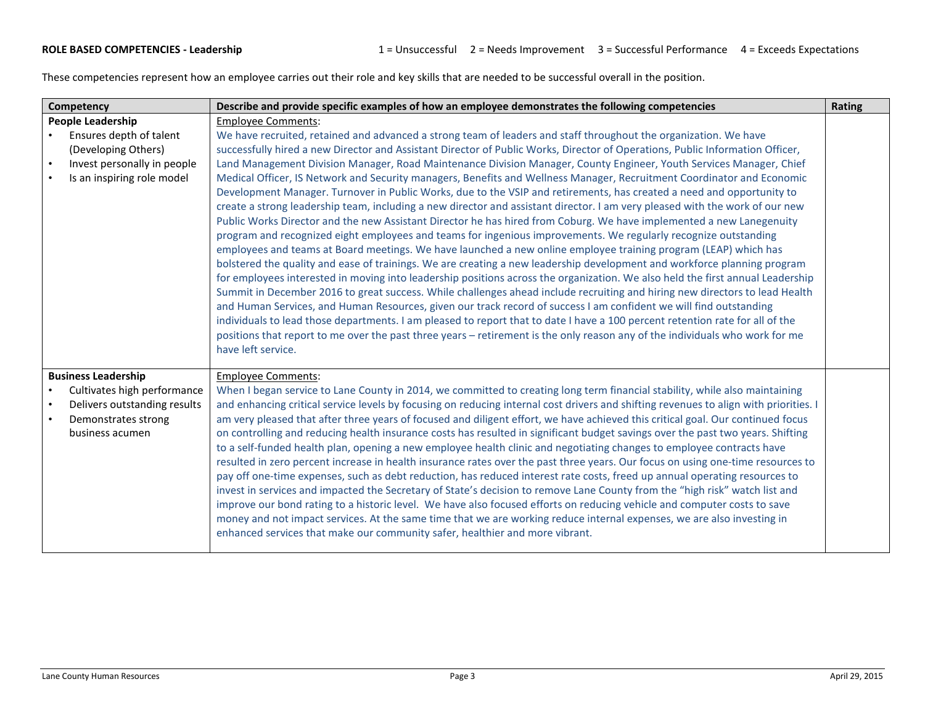These competencies represent how an employee carries out their role and key skills that are needed to be successful overall in the position.

| Competency |                                                                                                             | Describe and provide specific examples of how an employee demonstrates the following competencies                                                                                                                                                                                                                                                                                                                                                                                                                                                                                                                                                                                                                                                                                                                                                                                                                                                                                                                                                                                                                                                                                                                                                                                                                                                                                                                                                                                                                                                                                                                                                                                                                                                                                                                                                                                                                                   | Rating |
|------------|-------------------------------------------------------------------------------------------------------------|-------------------------------------------------------------------------------------------------------------------------------------------------------------------------------------------------------------------------------------------------------------------------------------------------------------------------------------------------------------------------------------------------------------------------------------------------------------------------------------------------------------------------------------------------------------------------------------------------------------------------------------------------------------------------------------------------------------------------------------------------------------------------------------------------------------------------------------------------------------------------------------------------------------------------------------------------------------------------------------------------------------------------------------------------------------------------------------------------------------------------------------------------------------------------------------------------------------------------------------------------------------------------------------------------------------------------------------------------------------------------------------------------------------------------------------------------------------------------------------------------------------------------------------------------------------------------------------------------------------------------------------------------------------------------------------------------------------------------------------------------------------------------------------------------------------------------------------------------------------------------------------------------------------------------------------|--------|
|            | People Leadership                                                                                           | <b>Employee Comments:</b>                                                                                                                                                                                                                                                                                                                                                                                                                                                                                                                                                                                                                                                                                                                                                                                                                                                                                                                                                                                                                                                                                                                                                                                                                                                                                                                                                                                                                                                                                                                                                                                                                                                                                                                                                                                                                                                                                                           |        |
| $\bullet$  | Ensures depth of talent<br>(Developing Others)<br>Invest personally in people<br>Is an inspiring role model | We have recruited, retained and advanced a strong team of leaders and staff throughout the organization. We have<br>successfully hired a new Director and Assistant Director of Public Works, Director of Operations, Public Information Officer,<br>Land Management Division Manager, Road Maintenance Division Manager, County Engineer, Youth Services Manager, Chief<br>Medical Officer, IS Network and Security managers, Benefits and Wellness Manager, Recruitment Coordinator and Economic<br>Development Manager. Turnover in Public Works, due to the VSIP and retirements, has created a need and opportunity to<br>create a strong leadership team, including a new director and assistant director. I am very pleased with the work of our new<br>Public Works Director and the new Assistant Director he has hired from Coburg. We have implemented a new Lanegenuity<br>program and recognized eight employees and teams for ingenious improvements. We regularly recognize outstanding<br>employees and teams at Board meetings. We have launched a new online employee training program (LEAP) which has<br>bolstered the quality and ease of trainings. We are creating a new leadership development and workforce planning program<br>for employees interested in moving into leadership positions across the organization. We also held the first annual Leadership<br>Summit in December 2016 to great success. While challenges ahead include recruiting and hiring new directors to lead Health<br>and Human Services, and Human Resources, given our track record of success I am confident we will find outstanding<br>individuals to lead those departments. I am pleased to report that to date I have a 100 percent retention rate for all of the<br>positions that report to me over the past three years - retirement is the only reason any of the individuals who work for me<br>have left service. |        |
|            | <b>Business Leadership</b>                                                                                  | <b>Employee Comments:</b>                                                                                                                                                                                                                                                                                                                                                                                                                                                                                                                                                                                                                                                                                                                                                                                                                                                                                                                                                                                                                                                                                                                                                                                                                                                                                                                                                                                                                                                                                                                                                                                                                                                                                                                                                                                                                                                                                                           |        |
|            | Cultivates high performance<br>Delivers outstanding results<br>Demonstrates strong<br>business acumen       | When I began service to Lane County in 2014, we committed to creating long term financial stability, while also maintaining<br>and enhancing critical service levels by focusing on reducing internal cost drivers and shifting revenues to align with priorities. I<br>am very pleased that after three years of focused and diligent effort, we have achieved this critical goal. Our continued focus<br>on controlling and reducing health insurance costs has resulted in significant budget savings over the past two years. Shifting<br>to a self-funded health plan, opening a new employee health clinic and negotiating changes to employee contracts have<br>resulted in zero percent increase in health insurance rates over the past three years. Our focus on using one-time resources to<br>pay off one-time expenses, such as debt reduction, has reduced interest rate costs, freed up annual operating resources to<br>invest in services and impacted the Secretary of State's decision to remove Lane County from the "high risk" watch list and<br>improve our bond rating to a historic level. We have also focused efforts on reducing vehicle and computer costs to save<br>money and not impact services. At the same time that we are working reduce internal expenses, we are also investing in<br>enhanced services that make our community safer, healthier and more vibrant.                                                                                                                                                                                                                                                                                                                                                                                                                                                                                                                           |        |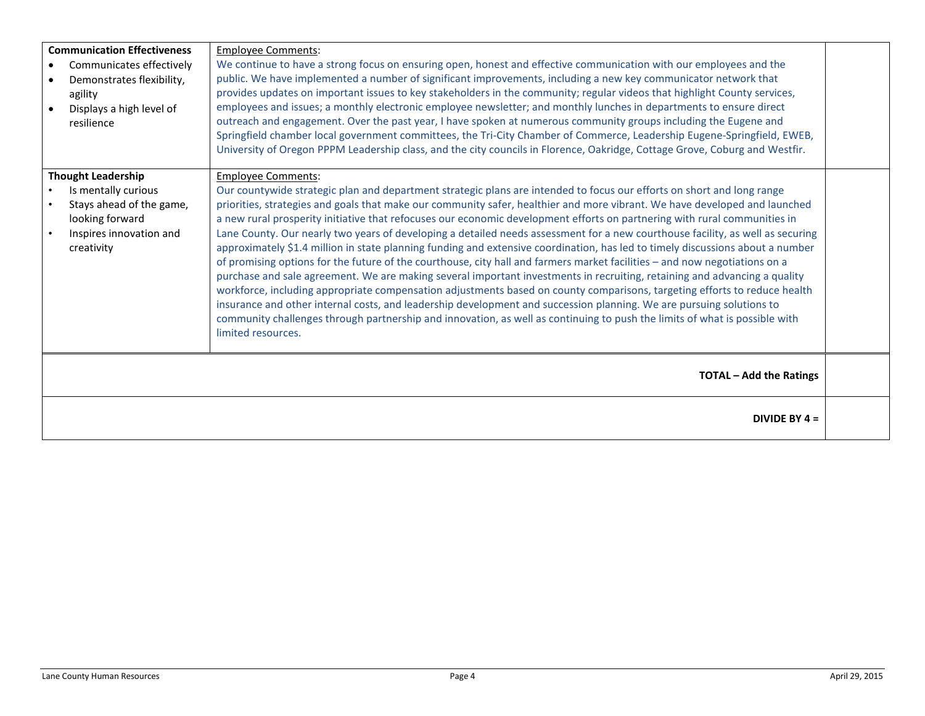| <b>Communication Effectiveness</b><br>Communicates effectively<br>$\bullet$<br>Demonstrates flexibility,<br>agility<br>Displays a high level of<br>resilience | <b>Employee Comments:</b><br>We continue to have a strong focus on ensuring open, honest and effective communication with our employees and the<br>public. We have implemented a number of significant improvements, including a new key communicator network that<br>provides updates on important issues to key stakeholders in the community; regular videos that highlight County services,<br>employees and issues; a monthly electronic employee newsletter; and monthly lunches in departments to ensure direct<br>outreach and engagement. Over the past year, I have spoken at numerous community groups including the Eugene and<br>Springfield chamber local government committees, the Tri-City Chamber of Commerce, Leadership Eugene-Springfield, EWEB,<br>University of Oregon PPPM Leadership class, and the city councils in Florence, Oakridge, Cottage Grove, Coburg and Westfir.                                                                                                                                                                                                                                                                                                                                                                                                                                                   |  |
|---------------------------------------------------------------------------------------------------------------------------------------------------------------|--------------------------------------------------------------------------------------------------------------------------------------------------------------------------------------------------------------------------------------------------------------------------------------------------------------------------------------------------------------------------------------------------------------------------------------------------------------------------------------------------------------------------------------------------------------------------------------------------------------------------------------------------------------------------------------------------------------------------------------------------------------------------------------------------------------------------------------------------------------------------------------------------------------------------------------------------------------------------------------------------------------------------------------------------------------------------------------------------------------------------------------------------------------------------------------------------------------------------------------------------------------------------------------------------------------------------------------------------------|--|
| <b>Thought Leadership</b><br>Is mentally curious<br>Stays ahead of the game,<br>looking forward<br>Inspires innovation and<br>creativity                      | <b>Employee Comments:</b><br>Our countywide strategic plan and department strategic plans are intended to focus our efforts on short and long range<br>priorities, strategies and goals that make our community safer, healthier and more vibrant. We have developed and launched<br>a new rural prosperity initiative that refocuses our economic development efforts on partnering with rural communities in<br>Lane County. Our nearly two years of developing a detailed needs assessment for a new courthouse facility, as well as securing<br>approximately \$1.4 million in state planning funding and extensive coordination, has led to timely discussions about a number<br>of promising options for the future of the courthouse, city hall and farmers market facilities - and now negotiations on a<br>purchase and sale agreement. We are making several important investments in recruiting, retaining and advancing a quality<br>workforce, including appropriate compensation adjustments based on county comparisons, targeting efforts to reduce health<br>insurance and other internal costs, and leadership development and succession planning. We are pursuing solutions to<br>community challenges through partnership and innovation, as well as continuing to push the limits of what is possible with<br>limited resources. |  |
|                                                                                                                                                               | <b>TOTAL - Add the Ratings</b>                                                                                                                                                                                                                                                                                                                                                                                                                                                                                                                                                                                                                                                                                                                                                                                                                                                                                                                                                                                                                                                                                                                                                                                                                                                                                                                         |  |
|                                                                                                                                                               | DIVIDE BY $4 =$                                                                                                                                                                                                                                                                                                                                                                                                                                                                                                                                                                                                                                                                                                                                                                                                                                                                                                                                                                                                                                                                                                                                                                                                                                                                                                                                        |  |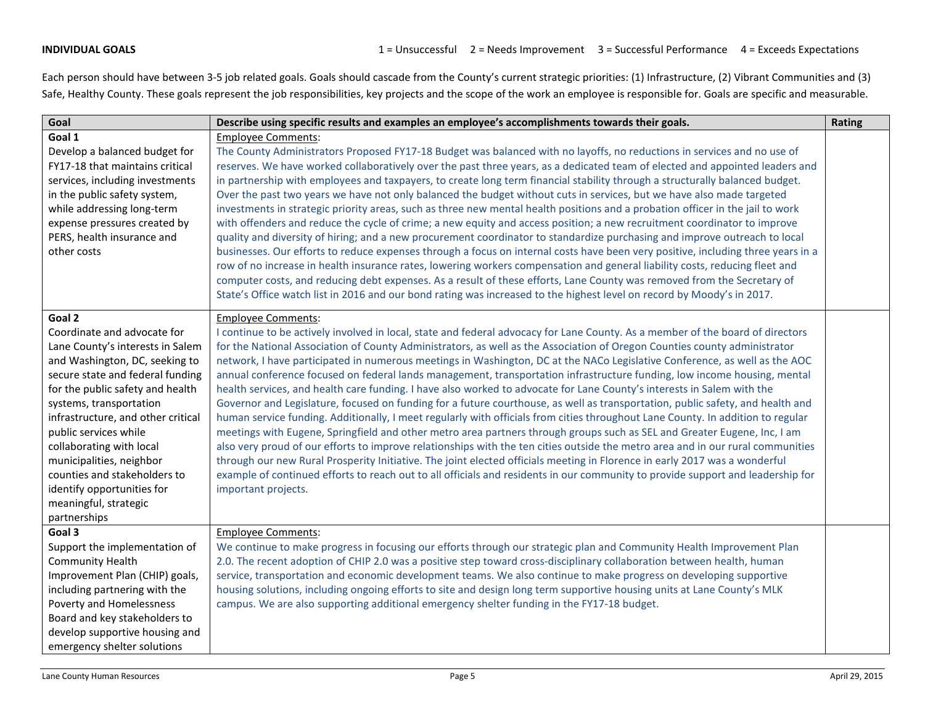Each person should have between 3-5 job related goals. Goals should cascade from the County's current strategic priorities: (1) Infrastructure, (2) Vibrant Communities and (3) Safe, Healthy County. These goals represent the job responsibilities, key projects and the scope of the work an employee is responsible for. Goals are specific and measurable.

| Goal                                                                                                                                                                                                                                                                                                                                                                                                                                         | Describe using specific results and examples an employee's accomplishments towards their goals.                                                                                                                                                                                                                                                                                                                                                                                                                                                                                                                                                                                                                                                                                                                                                                                                                                                                                                                                                                                                                                                                                                                                                                                                                                                                                                                                                                                                          | Rating |
|----------------------------------------------------------------------------------------------------------------------------------------------------------------------------------------------------------------------------------------------------------------------------------------------------------------------------------------------------------------------------------------------------------------------------------------------|----------------------------------------------------------------------------------------------------------------------------------------------------------------------------------------------------------------------------------------------------------------------------------------------------------------------------------------------------------------------------------------------------------------------------------------------------------------------------------------------------------------------------------------------------------------------------------------------------------------------------------------------------------------------------------------------------------------------------------------------------------------------------------------------------------------------------------------------------------------------------------------------------------------------------------------------------------------------------------------------------------------------------------------------------------------------------------------------------------------------------------------------------------------------------------------------------------------------------------------------------------------------------------------------------------------------------------------------------------------------------------------------------------------------------------------------------------------------------------------------------------|--------|
| Goal 1                                                                                                                                                                                                                                                                                                                                                                                                                                       | <b>Employee Comments:</b>                                                                                                                                                                                                                                                                                                                                                                                                                                                                                                                                                                                                                                                                                                                                                                                                                                                                                                                                                                                                                                                                                                                                                                                                                                                                                                                                                                                                                                                                                |        |
| Develop a balanced budget for<br>FY17-18 that maintains critical<br>services, including investments<br>in the public safety system,<br>while addressing long-term<br>expense pressures created by<br>PERS, health insurance and<br>other costs                                                                                                                                                                                               | The County Administrators Proposed FY17-18 Budget was balanced with no layoffs, no reductions in services and no use of<br>reserves. We have worked collaboratively over the past three years, as a dedicated team of elected and appointed leaders and<br>in partnership with employees and taxpayers, to create long term financial stability through a structurally balanced budget.<br>Over the past two years we have not only balanced the budget without cuts in services, but we have also made targeted<br>investments in strategic priority areas, such as three new mental health positions and a probation officer in the jail to work<br>with offenders and reduce the cycle of crime; a new equity and access position; a new recruitment coordinator to improve<br>quality and diversity of hiring; and a new procurement coordinator to standardize purchasing and improve outreach to local<br>businesses. Our efforts to reduce expenses through a focus on internal costs have been very positive, including three years in a<br>row of no increase in health insurance rates, lowering workers compensation and general liability costs, reducing fleet and<br>computer costs, and reducing debt expenses. As a result of these efforts, Lane County was removed from the Secretary of<br>State's Office watch list in 2016 and our bond rating was increased to the highest level on record by Moody's in 2017.                                                                     |        |
| Goal 2<br>Coordinate and advocate for<br>Lane County's interests in Salem<br>and Washington, DC, seeking to<br>secure state and federal funding<br>for the public safety and health<br>systems, transportation<br>infrastructure, and other critical<br>public services while<br>collaborating with local<br>municipalities, neighbor<br>counties and stakeholders to<br>identify opportunities for<br>meaningful, strategic<br>partnerships | <b>Employee Comments:</b><br>I continue to be actively involved in local, state and federal advocacy for Lane County. As a member of the board of directors<br>for the National Association of County Administrators, as well as the Association of Oregon Counties county administrator<br>network, I have participated in numerous meetings in Washington, DC at the NACo Legislative Conference, as well as the AOC<br>annual conference focused on federal lands management, transportation infrastructure funding, low income housing, mental<br>health services, and health care funding. I have also worked to advocate for Lane County's interests in Salem with the<br>Governor and Legislature, focused on funding for a future courthouse, as well as transportation, public safety, and health and<br>human service funding. Additionally, I meet regularly with officials from cities throughout Lane County. In addition to regular<br>meetings with Eugene, Springfield and other metro area partners through groups such as SEL and Greater Eugene, Inc, I am<br>also very proud of our efforts to improve relationships with the ten cities outside the metro area and in our rural communities<br>through our new Rural Prosperity Initiative. The joint elected officials meeting in Florence in early 2017 was a wonderful<br>example of continued efforts to reach out to all officials and residents in our community to provide support and leadership for<br>important projects. |        |
| Goal 3<br>Support the implementation of<br><b>Community Health</b><br>Improvement Plan (CHIP) goals,<br>including partnering with the<br>Poverty and Homelessness<br>Board and key stakeholders to<br>develop supportive housing and<br>emergency shelter solutions                                                                                                                                                                          | <b>Employee Comments:</b><br>We continue to make progress in focusing our efforts through our strategic plan and Community Health Improvement Plan<br>2.0. The recent adoption of CHIP 2.0 was a positive step toward cross-disciplinary collaboration between health, human<br>service, transportation and economic development teams. We also continue to make progress on developing supportive<br>housing solutions, including ongoing efforts to site and design long term supportive housing units at Lane County's MLK<br>campus. We are also supporting additional emergency shelter funding in the FY17-18 budget.                                                                                                                                                                                                                                                                                                                                                                                                                                                                                                                                                                                                                                                                                                                                                                                                                                                                              |        |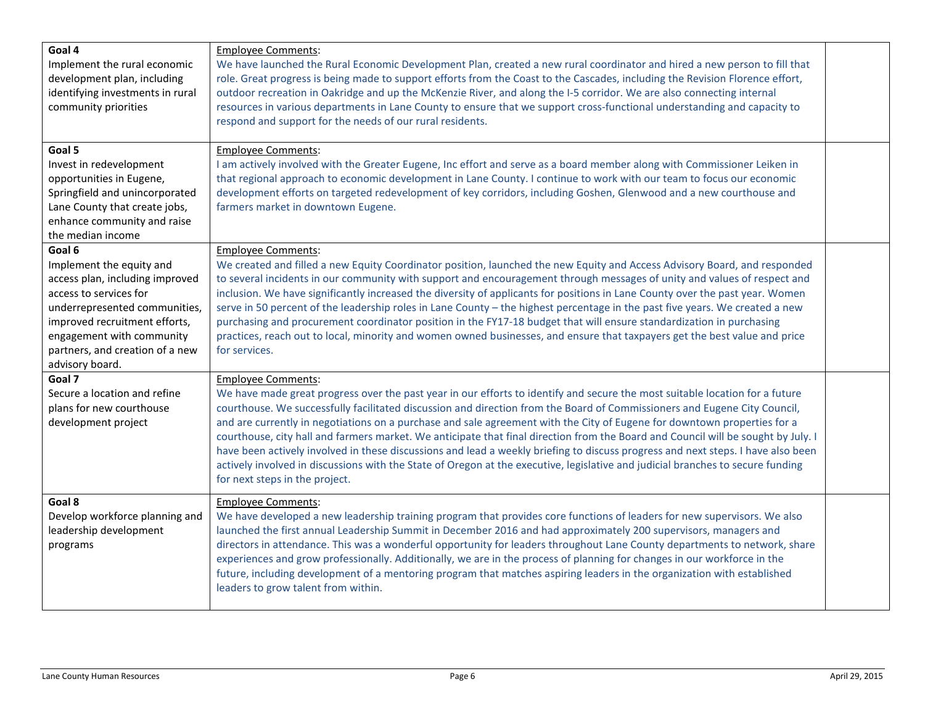| Goal 4<br>Implement the rural economic<br>development plan, including<br>identifying investments in rural<br>community priorities                                                                                                                    | <b>Employee Comments:</b><br>We have launched the Rural Economic Development Plan, created a new rural coordinator and hired a new person to fill that<br>role. Great progress is being made to support efforts from the Coast to the Cascades, including the Revision Florence effort,<br>outdoor recreation in Oakridge and up the McKenzie River, and along the I-5 corridor. We are also connecting internal<br>resources in various departments in Lane County to ensure that we support cross-functional understanding and capacity to                                                                                                                                                                                                                                                                                                                     |  |
|------------------------------------------------------------------------------------------------------------------------------------------------------------------------------------------------------------------------------------------------------|------------------------------------------------------------------------------------------------------------------------------------------------------------------------------------------------------------------------------------------------------------------------------------------------------------------------------------------------------------------------------------------------------------------------------------------------------------------------------------------------------------------------------------------------------------------------------------------------------------------------------------------------------------------------------------------------------------------------------------------------------------------------------------------------------------------------------------------------------------------|--|
|                                                                                                                                                                                                                                                      | respond and support for the needs of our rural residents.                                                                                                                                                                                                                                                                                                                                                                                                                                                                                                                                                                                                                                                                                                                                                                                                        |  |
| Goal 5<br>Invest in redevelopment<br>opportunities in Eugene,<br>Springfield and unincorporated<br>Lane County that create jobs,<br>enhance community and raise                                                                                      | <b>Employee Comments:</b><br>I am actively involved with the Greater Eugene, Inc effort and serve as a board member along with Commissioner Leiken in<br>that regional approach to economic development in Lane County. I continue to work with our team to focus our economic<br>development efforts on targeted redevelopment of key corridors, including Goshen, Glenwood and a new courthouse and<br>farmers market in downtown Eugene.                                                                                                                                                                                                                                                                                                                                                                                                                      |  |
| the median income                                                                                                                                                                                                                                    |                                                                                                                                                                                                                                                                                                                                                                                                                                                                                                                                                                                                                                                                                                                                                                                                                                                                  |  |
| Goal 6<br>Implement the equity and<br>access plan, including improved<br>access to services for<br>underrepresented communities,<br>improved recruitment efforts,<br>engagement with community<br>partners, and creation of a new<br>advisory board. | <b>Employee Comments:</b><br>We created and filled a new Equity Coordinator position, launched the new Equity and Access Advisory Board, and responded<br>to several incidents in our community with support and encouragement through messages of unity and values of respect and<br>inclusion. We have significantly increased the diversity of applicants for positions in Lane County over the past year. Women<br>serve in 50 percent of the leadership roles in Lane County - the highest percentage in the past five years. We created a new<br>purchasing and procurement coordinator position in the FY17-18 budget that will ensure standardization in purchasing<br>practices, reach out to local, minority and women owned businesses, and ensure that taxpayers get the best value and price<br>for services.                                       |  |
| Goal 7<br>Secure a location and refine<br>plans for new courthouse<br>development project                                                                                                                                                            | <b>Employee Comments:</b><br>We have made great progress over the past year in our efforts to identify and secure the most suitable location for a future<br>courthouse. We successfully facilitated discussion and direction from the Board of Commissioners and Eugene City Council,<br>and are currently in negotiations on a purchase and sale agreement with the City of Eugene for downtown properties for a<br>courthouse, city hall and farmers market. We anticipate that final direction from the Board and Council will be sought by July. I<br>have been actively involved in these discussions and lead a weekly briefing to discuss progress and next steps. I have also been<br>actively involved in discussions with the State of Oregon at the executive, legislative and judicial branches to secure funding<br>for next steps in the project. |  |
| Goal 8<br>Develop workforce planning and<br>leadership development<br>programs                                                                                                                                                                       | <b>Employee Comments:</b><br>We have developed a new leadership training program that provides core functions of leaders for new supervisors. We also<br>launched the first annual Leadership Summit in December 2016 and had approximately 200 supervisors, managers and<br>directors in attendance. This was a wonderful opportunity for leaders throughout Lane County departments to network, share<br>experiences and grow professionally. Additionally, we are in the process of planning for changes in our workforce in the<br>future, including development of a mentoring program that matches aspiring leaders in the organization with established<br>leaders to grow talent from within.                                                                                                                                                            |  |